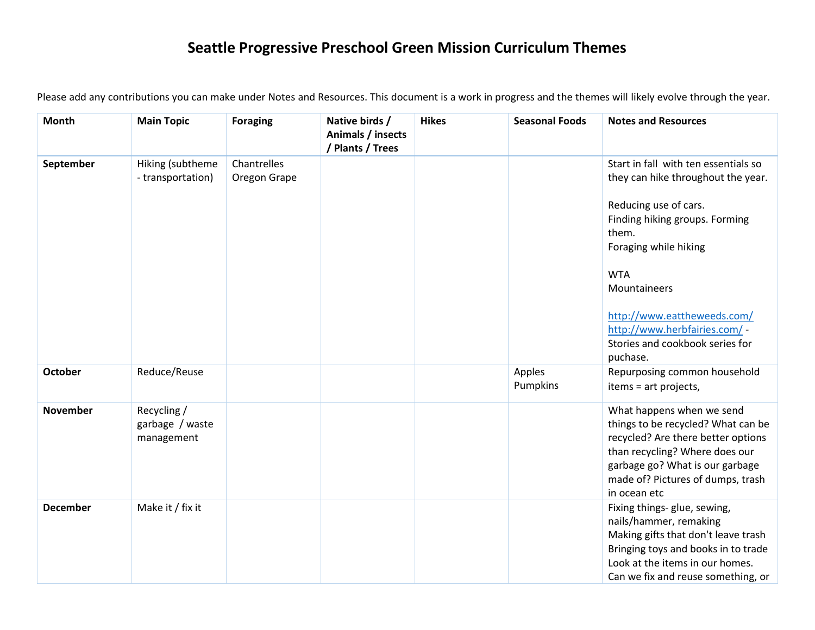## **Seattle Progressive Preschool Green Mission Curriculum Themes**

| <b>Month</b>    | <b>Main Topic</b>                            | <b>Foraging</b>             | Native birds /<br>Animals / insects<br>/ Plants / Trees | <b>Hikes</b> | <b>Seasonal Foods</b> | <b>Notes and Resources</b>                                                                                                                                                                                                                                                                                           |
|-----------------|----------------------------------------------|-----------------------------|---------------------------------------------------------|--------------|-----------------------|----------------------------------------------------------------------------------------------------------------------------------------------------------------------------------------------------------------------------------------------------------------------------------------------------------------------|
| September       | Hiking (subtheme<br>- transportation)        | Chantrelles<br>Oregon Grape |                                                         |              |                       | Start in fall with ten essentials so<br>they can hike throughout the year.<br>Reducing use of cars.<br>Finding hiking groups. Forming<br>them.<br>Foraging while hiking<br><b>WTA</b><br>Mountaineers<br>http://www.eattheweeds.com/<br>http://www.herbfairies.com/ -<br>Stories and cookbook series for<br>puchase. |
| October         | Reduce/Reuse                                 |                             |                                                         |              | Apples<br>Pumpkins    | Repurposing common household<br>items = art projects,                                                                                                                                                                                                                                                                |
| <b>November</b> | Recycling /<br>garbage / waste<br>management |                             |                                                         |              |                       | What happens when we send<br>things to be recycled? What can be<br>recycled? Are there better options<br>than recycling? Where does our<br>garbage go? What is our garbage<br>made of? Pictures of dumps, trash<br>in ocean etc                                                                                      |
| <b>December</b> | Make it / fix it                             |                             |                                                         |              |                       | Fixing things- glue, sewing,<br>nails/hammer, remaking<br>Making gifts that don't leave trash<br>Bringing toys and books in to trade<br>Look at the items in our homes.<br>Can we fix and reuse something, or                                                                                                        |

Please add any contributions you can make under Notes and Resources. This document is a work in progress and the themes will likely evolve through the year.